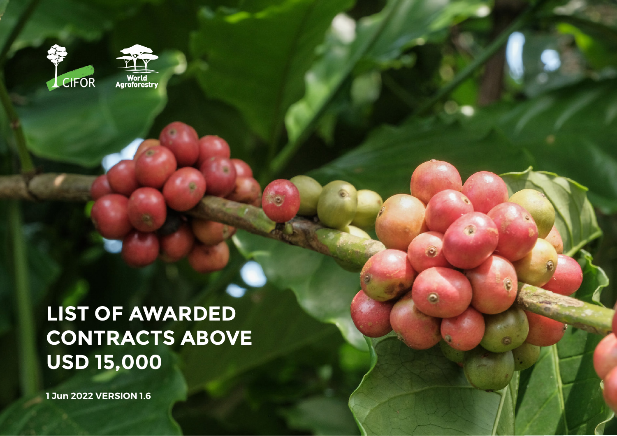



**LIST OF AWARDED CONTRACTS ABOVE USD 15,000**

ô

**1 Jun 2022 VERSION 1.6**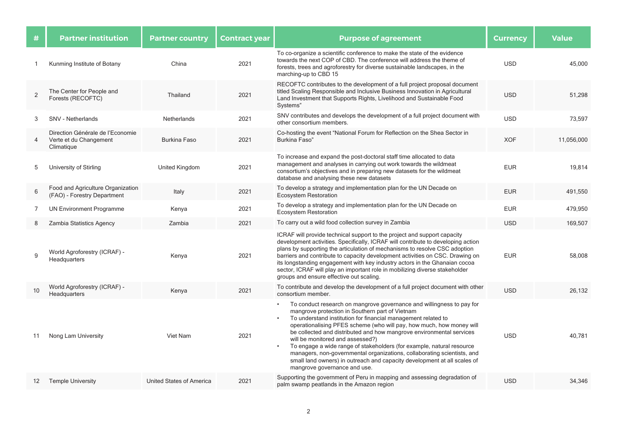| #   | <b>Partner institution</b>                                               | <b>Partner country</b>   | <b>Contract year</b> | <b>Purpose of agreement</b>                                                                                                                                                                                                                                                                                                                                                                                                                                                                                                                                                                                                                   | <b>Currency</b> | <b>Value</b> |
|-----|--------------------------------------------------------------------------|--------------------------|----------------------|-----------------------------------------------------------------------------------------------------------------------------------------------------------------------------------------------------------------------------------------------------------------------------------------------------------------------------------------------------------------------------------------------------------------------------------------------------------------------------------------------------------------------------------------------------------------------------------------------------------------------------------------------|-----------------|--------------|
| 1   | Kunming Institute of Botany                                              | China                    | 2021                 | To co-organize a scientific conference to make the state of the evidence<br>towards the next COP of CBD. The conference will address the theme of<br>forests, trees and agroforestry for diverse sustainable landscapes, in the<br>marching-up to CBD 15                                                                                                                                                                                                                                                                                                                                                                                      | <b>USD</b>      | 45,000       |
| 2   | The Center for People and<br>Forests (RECOFTC)                           | Thailand                 | 2021                 | RECOFTC contributes to the development of a full project proposal document<br>titled Scaling Responsible and Inclusive Business Innovation in Agricultural<br>Land Investment that Supports Rights, Livelihood and Sustainable Food<br>Systems"                                                                                                                                                                                                                                                                                                                                                                                               | <b>USD</b>      | 51,298       |
| 3   | SNV - Netherlands                                                        | Netherlands              | 2021                 | SNV contributes and develops the development of a full project document with<br>other consortium members.                                                                                                                                                                                                                                                                                                                                                                                                                                                                                                                                     | <b>USD</b>      | 73,597       |
| 4   | Direction Générale de l'Economie<br>Verte et du Changement<br>Climatique | <b>Burkina Faso</b>      | 2021                 | Co-hosting the event "National Forum for Reflection on the Shea Sector in<br>Burkina Faso"                                                                                                                                                                                                                                                                                                                                                                                                                                                                                                                                                    | <b>XOF</b>      | 11,056,000   |
| 5   | University of Stirling                                                   | United Kingdom           | 2021                 | To increase and expand the post-doctoral staff time allocated to data<br>management and analyses in carrying out work towards the wildmeat<br>consortium's objectives and in preparing new datasets for the wildmeat<br>database and analysing these new datasets                                                                                                                                                                                                                                                                                                                                                                             | <b>EUR</b>      | 19,814       |
| 6   | Food and Agriculture Organization<br>(FAO) - Forestry Department         | Italy                    | 2021                 | To develop a strategy and implementation plan for the UN Decade on<br>Ecosystem Restoration                                                                                                                                                                                                                                                                                                                                                                                                                                                                                                                                                   | <b>EUR</b>      | 491,550      |
| 7   | <b>UN Environment Programme</b>                                          | Kenya                    | 2021                 | To develop a strategy and implementation plan for the UN Decade on<br><b>Ecosystem Restoration</b>                                                                                                                                                                                                                                                                                                                                                                                                                                                                                                                                            | <b>EUR</b>      | 479,950      |
| 8   | Zambia Statistics Agency                                                 | Zambia                   | 2021                 | To carry out a wild food collection survey in Zambia                                                                                                                                                                                                                                                                                                                                                                                                                                                                                                                                                                                          | <b>USD</b>      | 169,507      |
| 9   | World Agroforestry (ICRAF) -<br>Headquarters                             | Kenya                    | 2021                 | ICRAF will provide technical support to the project and support capacity<br>development activities. Specifically, ICRAF will contribute to developing action<br>plans by supporting the articulation of mechanisms to resolve CSC adoption<br>barriers and contribute to capacity development activities on CSC. Drawing on<br>its longstanding engagement with key industry actors in the Ghanaian cocoa<br>sector, ICRAF will play an important role in mobilizing diverse stakeholder<br>groups and ensure effective out scaling.                                                                                                          | <b>EUR</b>      | 58,008       |
| 10  | World Agroforestry (ICRAF) -<br>Headquarters                             | Kenya                    | 2021                 | To contribute and develop the development of a full project document with other<br>consortium member.                                                                                                                                                                                                                                                                                                                                                                                                                                                                                                                                         | <b>USD</b>      | 26,132       |
| -11 | Nong Lam University                                                      | Viet Nam                 | 2021                 | To conduct research on mangrove governance and willingness to pay for<br>mangrove protection in Southern part of Vietnam<br>To understand institution for financial management related to<br>operationalising PFES scheme (who will pay, how much, how money will<br>be collected and distributed and how mangrove environmental services<br>will be monitored and assessed?)<br>To engage a wide range of stakeholders (for example, natural resource<br>managers, non-governmental organizations, collaborating scientists, and<br>small land owners) in outreach and capacity development at all scales of<br>mangrove governance and use. | <b>USD</b>      | 40.781       |
| 12  | <b>Temple University</b>                                                 | United States of America | 2021                 | Supporting the government of Peru in mapping and assessing degradation of<br>palm swamp peatlands in the Amazon region                                                                                                                                                                                                                                                                                                                                                                                                                                                                                                                        | <b>USD</b>      | 34,346       |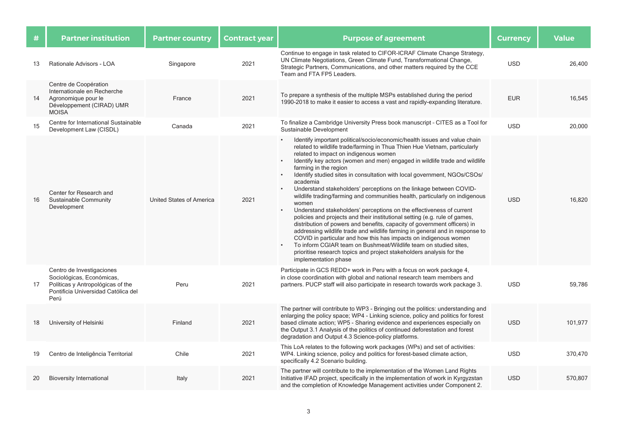| #  | <b>Partner institution</b>                                                                                                                 | <b>Partner country</b>   | <b>Contract year</b> | <b>Purpose of agreement</b>                                                                                                                                                                                                                                                                                                                                                                                                                                                                                                                                                                                                                                                                                                                                                                                                                                                                                                                                                                                                                                                                                            | <b>Currency</b> | <b>Value</b> |
|----|--------------------------------------------------------------------------------------------------------------------------------------------|--------------------------|----------------------|------------------------------------------------------------------------------------------------------------------------------------------------------------------------------------------------------------------------------------------------------------------------------------------------------------------------------------------------------------------------------------------------------------------------------------------------------------------------------------------------------------------------------------------------------------------------------------------------------------------------------------------------------------------------------------------------------------------------------------------------------------------------------------------------------------------------------------------------------------------------------------------------------------------------------------------------------------------------------------------------------------------------------------------------------------------------------------------------------------------------|-----------------|--------------|
| 13 | Rationale Advisors - LOA                                                                                                                   | Singapore                | 2021                 | Continue to engage in task related to CIFOR-ICRAF Climate Change Strategy,<br>UN Climate Negotiations, Green Climate Fund, Transformational Change,<br>Strategic Partners, Communications, and other matters required by the CCE<br>Team and FTA FP5 Leaders.                                                                                                                                                                                                                                                                                                                                                                                                                                                                                                                                                                                                                                                                                                                                                                                                                                                          | <b>USD</b>      | 26,400       |
| 14 | Centre de Coopération<br>Internationale en Recherche<br>Agronomique pour le<br>Développement (CIRAD) UMR<br><b>MOISA</b>                   | France                   | 2021                 | To prepare a synthesis of the multiple MSPs established during the period<br>1990-2018 to make it easier to access a vast and rapidly-expanding literature.                                                                                                                                                                                                                                                                                                                                                                                                                                                                                                                                                                                                                                                                                                                                                                                                                                                                                                                                                            | <b>EUR</b>      | 16,545       |
| 15 | Centre for International Sustainable<br>Development Law (CISDL)                                                                            | Canada                   | 2021                 | To finalize a Cambridge University Press book manuscript - CITES as a Tool for<br>Sustainable Development                                                                                                                                                                                                                                                                                                                                                                                                                                                                                                                                                                                                                                                                                                                                                                                                                                                                                                                                                                                                              | <b>USD</b>      | 20,000       |
| 16 | Center for Research and<br>Sustainable Community<br>Development                                                                            | United States of America | 2021                 | Identify important political/socio/economic/health issues and value chain<br>related to wildlife trade/farming in Thua Thien Hue Vietnam, particularly<br>related to impact on indigenous women<br>Identify key actors (women and men) engaged in wildlife trade and wildlife<br>farming in the region<br>Identify studied sites in consultation with local government, NGOs/CSOs/<br>academia<br>Understand stakeholders' perceptions on the linkage between COVID-<br>wildlife trading/farming and communities health, particularly on indigenous<br>women<br>Understand stakeholders' perceptions on the effectiveness of current<br>policies and projects and their institutional setting (e.g. rule of games,<br>distribution of powers and benefits, capacity of government officers) in<br>addressing wildlife trade and wildlife farming in general and in response to<br>COVID in particular and how this has impacts on indigenous women<br>To inform CGIAR team on Bushmeat/Wildlife team on studied sites,<br>prioritise research topics and project stakeholders analysis for the<br>implementation phase | <b>USD</b>      | 16.820       |
| 17 | Centro de Investigaciones<br>Sociológicas, Económicas,<br>Políticas y Antropológicas of the<br>Pontificia Universidad Católica del<br>Perú | Peru                     | 2021                 | Participate in GCS REDD+ work in Peru with a focus on work package 4,<br>in close coordination with global and national research team members and<br>partners. PUCP staff will also participate in research towards work package 3.                                                                                                                                                                                                                                                                                                                                                                                                                                                                                                                                                                                                                                                                                                                                                                                                                                                                                    | <b>USD</b>      | 59,786       |
| 18 | University of Helsinki                                                                                                                     | Finland                  | 2021                 | The partner will contribute to WP3 - Bringing out the politics: understanding and<br>enlarging the policy space; WP4 - Linking science, policy and politics for forest<br>based climate action; WP5 - Sharing evidence and experiences especially on<br>the Output 3.1 Analysis of the politics of continued deforestation and forest<br>degradation and Output 4.3 Science-policy platforms.                                                                                                                                                                                                                                                                                                                                                                                                                                                                                                                                                                                                                                                                                                                          | <b>USD</b>      | 101,977      |
| 19 | Centro de Inteligência Territorial                                                                                                         | Chile                    | 2021                 | This LoA relates to the following work packages (WPs) and set of activities:<br>WP4. Linking science, policy and politics for forest-based climate action,<br>specifically 4.2 Scenario building.                                                                                                                                                                                                                                                                                                                                                                                                                                                                                                                                                                                                                                                                                                                                                                                                                                                                                                                      | <b>USD</b>      | 370,470      |
| 20 | <b>Bioversity International</b>                                                                                                            | Italy                    | 2021                 | The partner will contribute to the implementation of the Women Land Rights<br>Initiative IFAD project, specifically in the implementation of work in Kyrgyzstan<br>and the completion of Knowledge Management activities under Component 2.                                                                                                                                                                                                                                                                                                                                                                                                                                                                                                                                                                                                                                                                                                                                                                                                                                                                            | <b>USD</b>      | 570,807      |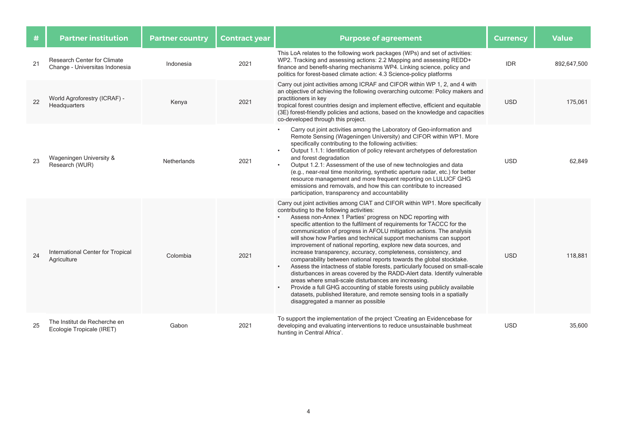| #  | <b>Partner institution</b>                                    | <b>Partner country</b> | <b>Contract year</b> | <b>Purpose of agreement</b>                                                                                                                                                                                                                                                                                                                                                                                                                                                                                                                                                                                                                                                                                                                                                                                                                                                                                                                                                                                                                      | <b>Currency</b> | <b>Value</b> |
|----|---------------------------------------------------------------|------------------------|----------------------|--------------------------------------------------------------------------------------------------------------------------------------------------------------------------------------------------------------------------------------------------------------------------------------------------------------------------------------------------------------------------------------------------------------------------------------------------------------------------------------------------------------------------------------------------------------------------------------------------------------------------------------------------------------------------------------------------------------------------------------------------------------------------------------------------------------------------------------------------------------------------------------------------------------------------------------------------------------------------------------------------------------------------------------------------|-----------------|--------------|
| 21 | Research Center for Climate<br>Change - Universitas Indonesia | Indonesia              | 2021                 | This LoA relates to the following work packages (WPs) and set of activities:<br>WP2. Tracking and assessing actions: 2.2 Mapping and assessing REDD+<br>finance and benefit-sharing mechanisms WP4. Linking science, policy and<br>politics for forest-based climate action: 4.3 Science-policy platforms                                                                                                                                                                                                                                                                                                                                                                                                                                                                                                                                                                                                                                                                                                                                        | <b>IDR</b>      | 892,647,500  |
| 22 | World Agroforestry (ICRAF) -<br>Headquarters                  | Kenya                  | 2021                 | Carry out joint activities among ICRAF and CIFOR within WP 1, 2, and 4 with<br>an objective of achieving the following overarching outcome: Policy makers and<br>practitioners in key<br>tropical forest countries design and implement effective, efficient and equitable<br>(3E) forest-friendly policies and actions, based on the knowledge and capacities<br>co-developed through this project.                                                                                                                                                                                                                                                                                                                                                                                                                                                                                                                                                                                                                                             | <b>USD</b>      | 175.061      |
| 23 | Wageningen University &<br>Research (WUR)                     | <b>Netherlands</b>     | 2021                 | Carry out joint activities among the Laboratory of Geo-information and<br>Remote Sensing (Wageningen University) and CIFOR within WP1. More<br>specifically contributing to the following activities:<br>Output 1.1.1: Identification of policy relevant archetypes of deforestation<br>and forest degradation<br>Output 1.2.1: Assessment of the use of new technologies and data<br>(e.g., near-real time monitoring, synthetic aperture radar, etc.) for better<br>resource management and more frequent reporting on LULUCF GHG<br>emissions and removals, and how this can contribute to increased<br>participation, transparency and accountability                                                                                                                                                                                                                                                                                                                                                                                        | <b>USD</b>      | 62.849       |
| 24 | International Center for Tropical<br>Agriculture              | Colombia               | 2021                 | Carry out joint activities among CIAT and CIFOR within WP1. More specifically<br>contributing to the following activities:<br>Assess non-Annex 1 Parties' progress on NDC reporting with<br>specific attention to the fulfilment of requirements for TACCC for the<br>communication of progress in AFOLU mitigation actions. The analysis<br>will show how Parties and technical support mechanisms can support<br>improvement of national reporting, explore new data sources, and<br>increase transparency, accuracy, completeness, consistency, and<br>comparability between national reports towards the global stocktake.<br>Assess the intactness of stable forests, particularly focused on small-scale<br>disturbances in areas covered by the RADD-Alert data. Identify vulnerable<br>areas where small-scale disturbances are increasing.<br>Provide a full GHG accounting of stable forests using publicly available<br>datasets, published literature, and remote sensing tools in a spatially<br>disaggregated a manner as possible | <b>USD</b>      | 118.881      |
| 25 | The Institut de Recherche en<br>Ecologie Tropicale (IRET)     | Gabon                  | 2021                 | To support the implementation of the project 'Creating an Evidencebase for<br>developing and evaluating interventions to reduce unsustainable bushmeat<br>hunting in Central Africa'.                                                                                                                                                                                                                                                                                                                                                                                                                                                                                                                                                                                                                                                                                                                                                                                                                                                            | <b>USD</b>      | 35.600       |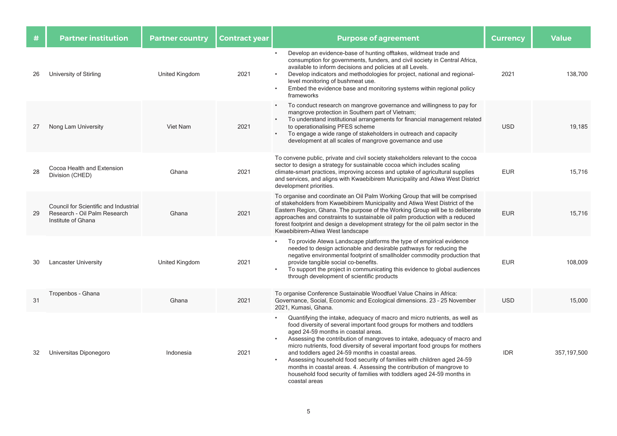| #  | <b>Partner institution</b>                                                                  | <b>Partner country</b> | <b>Contract year</b> | <b>Purpose of agreement</b>                                                                                                                                                                                                                                                                                                                                                                                                                                                                                                                                                                                                                                | <b>Currency</b> | <b>Value</b> |
|----|---------------------------------------------------------------------------------------------|------------------------|----------------------|------------------------------------------------------------------------------------------------------------------------------------------------------------------------------------------------------------------------------------------------------------------------------------------------------------------------------------------------------------------------------------------------------------------------------------------------------------------------------------------------------------------------------------------------------------------------------------------------------------------------------------------------------------|-----------------|--------------|
| 26 | University of Stirling                                                                      | United Kingdom         | 2021                 | Develop an evidence-base of hunting offtakes, wildmeat trade and<br>consumption for governments, funders, and civil society in Central Africa,<br>available to inform decisions and policies at all Levels.<br>Develop indicators and methodologies for project, national and regional-<br>level monitoring of bushmeat use.<br>Embed the evidence base and monitoring systems within regional policy<br>frameworks                                                                                                                                                                                                                                        | 2021            | 138,700      |
| 27 | Nong Lam University                                                                         | Viet Nam               | 2021                 | To conduct research on mangrove governance and willingness to pay for<br>$\bullet$<br>mangrove protection in Southern part of Vietnam;<br>To understand institutional arrangements for financial management related<br>$\bullet$<br>to operationalising PFES scheme<br>To engage a wide range of stakeholders in outreach and capacity<br>$\bullet$<br>development at all scales of mangrove governance and use                                                                                                                                                                                                                                            | <b>USD</b>      | 19,185       |
| 28 | Cocoa Health and Extension<br>Division (CHED)                                               | Ghana                  | 2021                 | To convene public, private and civil society stakeholders relevant to the cocoa<br>sector to design a strategy for sustainable cocoa which includes scaling<br>climate-smart practices, improving access and uptake of agricultural supplies<br>and services, and aligns with Kwaebibirem Municipality and Atiwa West District<br>development priorities.                                                                                                                                                                                                                                                                                                  | <b>EUR</b>      | 15,716       |
| 29 | Council for Scientific and Industrial<br>Research - Oil Palm Research<br>Institute of Ghana | Ghana                  | 2021                 | To organise and coordinate an Oil Palm Working Group that will be comprised<br>of stakeholders from Kwaebibirem Municipality and Atiwa West District of the<br>Eastern Region, Ghana. The purpose of the Working Group will be to deliberate<br>approaches and constraints to sustainable oil palm production with a reduced<br>forest footprint and design a development strategy for the oil palm sector in the<br>Kwaebibirem-Atiwa West landscape                                                                                                                                                                                                      | <b>EUR</b>      | 15,716       |
| 30 | <b>Lancaster University</b>                                                                 | United Kingdom         | 2021                 | To provide Atewa Landscape platforms the type of empirical evidence<br>needed to design actionable and desirable pathways for reducing the<br>negative environmental footprint of smallholder commodity production that<br>provide tangible social co-benefits.<br>To support the project in communicating this evidence to global audiences<br>$\bullet$<br>through development of scientific products                                                                                                                                                                                                                                                    | <b>EUR</b>      | 108,009      |
| 31 | Tropenbos - Ghana                                                                           | Ghana                  | 2021                 | To organise Conference Sustainable Woodfuel Value Chains in Africa:<br>Governance, Social, Economic and Ecological dimensions. 23 - 25 November<br>2021, Kumasi, Ghana.                                                                                                                                                                                                                                                                                                                                                                                                                                                                                    | <b>USD</b>      | 15,000       |
| 32 | Universitas Diponegoro                                                                      | Indonesia              | 2021                 | Quantifying the intake, adequacy of macro and micro nutrients, as well as<br>food diversity of several important food groups for mothers and toddlers<br>aged 24-59 months in coastal areas.<br>Assessing the contribution of mangroves to intake, adequacy of macro and<br>micro nutrients, food diversity of several important food groups for mothers<br>and toddlers aged 24-59 months in coastal areas.<br>Assessing household food security of families with children aged 24-59<br>months in coastal areas. 4. Assessing the contribution of mangrove to<br>household food security of families with toddlers aged 24-59 months in<br>coastal areas | <b>IDR</b>      | 357,197,500  |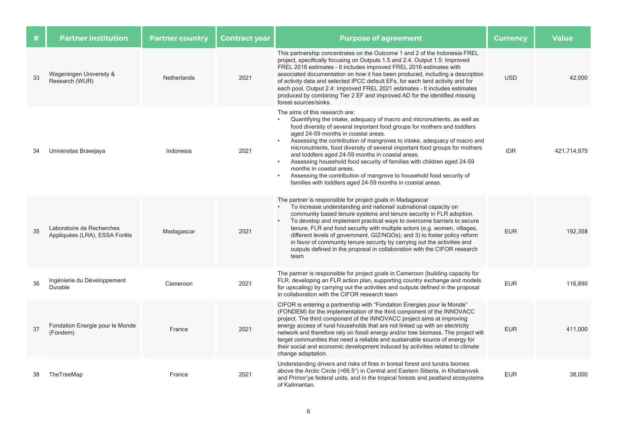| #  | <b>Partner institution</b>                                 | <b>Partner country</b> | <b>Contract year</b> | <b>Purpose of agreement</b>                                                                                                                                                                                                                                                                                                                                                                                                                                                                                                                                                                                                                                                                           | <b>Currency</b> | <b>Value</b> |
|----|------------------------------------------------------------|------------------------|----------------------|-------------------------------------------------------------------------------------------------------------------------------------------------------------------------------------------------------------------------------------------------------------------------------------------------------------------------------------------------------------------------------------------------------------------------------------------------------------------------------------------------------------------------------------------------------------------------------------------------------------------------------------------------------------------------------------------------------|-----------------|--------------|
| 33 | Wageningen University &<br>Research (WUR)                  | Netherlands            | 2021                 | This partnership concentrates on the Outcome 1 and 2 of the Indonesia FREL<br>project, specifically focusing on Outputs 1.5 and 2.4. Output 1.5: Improved<br>FREL 2016 estimates - It includes improved FREL 2016 estimates with<br>associated documentation on how it has been produced, including a description<br>of activity data and selected IPCC default EFs, for each land activity and for<br>each pool. Output 2.4: Improved FREL 2021 estimates - It includes estimates<br>produced by combining Tier 2 EF and improved AD for the identified missing<br>forest sources/sinks.                                                                                                             | <b>USD</b>      | 42,000       |
| 34 | Universitas Brawijaya                                      | Indonesia              | 2021                 | The aims of this research are:<br>Quantifying the intake, adequacy of macro and micronutrients, as well as<br>$\bullet$<br>food diversity of several important food groups for mothers and toddlers<br>aged 24-59 months in coastal areas.<br>Assessing the contribution of mangroves to intake, adequacy of macro and<br>micronutrients, food diversity of several important food groups for mothers<br>and toddlers aged 24-59 months in coastal areas.<br>Assessing household food security of families with children aged 24-59<br>months in coastal areas.<br>Assessing the contribution of mangrove to household food security of<br>families with toddlers aged 24-59 months in coastal areas. | <b>IDR</b>      | 421.714.975  |
| 35 | Laboratoire de Recherches<br>Appliquées (LRA), ESSA Forêts | Madagascar             | 2021                 | The partner is responsible for project goals in Madagascar<br>To increase understanding and national/ subnational capacity on<br>community based tenure systems and tenure security in FLR adoption.<br>To develop and implement practical ways to overcome barriers to secure<br>tenure, FLR and food security with multiple actors (e.g. women, villages,<br>different levels of government, GIZ/NGOs), and 3) to foster policy reform<br>in favor of community tenure security by carrying out the activities and<br>outputs defined in the proposal in collaboration with the CIFOR research<br>team                                                                                              | <b>EUR</b>      | 192,358      |
| 36 | Ingénierie du Développement<br>Durable                     | Cameroon               | 2021                 | The partner is responsible for project goals in Cameroon (building capacity for<br>FLR, developing an FLR action plan, supporting country exchange and models<br>for upscaling) by carrying out the activities and outputs defined in the proposal<br>in collaboration with the CIFOR research team                                                                                                                                                                                                                                                                                                                                                                                                   | <b>EUR</b>      | 116,890      |
| 37 | Fondation Energie pour le Monde<br>(Fondem)                | France                 | 2021                 | CIFOR is entering a partnership with "Fondation Energies pour le Monde"<br>(FONDEM) for the implementation of the third component of the INNOVACC<br>project. The third component of the INNOVACC project aims at improving<br>energy access of rural households that are not linked up with an electricity<br>network and therefore rely on fossil energy and/or tree biomass. The project will<br>target communities that need a reliable and sustainable source of energy for<br>their social and economic development induced by activities related to climate<br>change adaptation.                                                                                                              | <b>EUR</b>      | 411,000      |
| 38 | TheTreeMap                                                 | France                 | 2021                 | Understanding drivers and risks of fires in boreal forest and tundra biomes<br>above the Arctic Circle (>66.5°) in Central and Eastern Siberia, in Khabarovsk<br>and Primor'ye federal units, and in the tropical forests and peatland ecosystems<br>of Kalimantan.                                                                                                                                                                                                                                                                                                                                                                                                                                   | <b>EUR</b>      | 38,000       |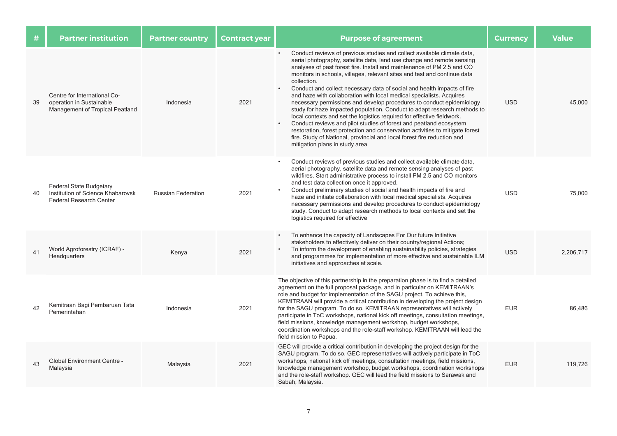| #  | <b>Partner institution</b>                                                                            | <b>Partner country</b>    | <b>Contract year</b> | <b>Purpose of agreement</b>                                                                                                                                                                                                                                                                                                                                                                                                                                                                                                                                                                                                                                                                                                                                                                                                                                                                                                                                                              | <b>Currency</b> | <b>Value</b> |
|----|-------------------------------------------------------------------------------------------------------|---------------------------|----------------------|------------------------------------------------------------------------------------------------------------------------------------------------------------------------------------------------------------------------------------------------------------------------------------------------------------------------------------------------------------------------------------------------------------------------------------------------------------------------------------------------------------------------------------------------------------------------------------------------------------------------------------------------------------------------------------------------------------------------------------------------------------------------------------------------------------------------------------------------------------------------------------------------------------------------------------------------------------------------------------------|-----------------|--------------|
| 39 | Centre for International Co-<br>operation in Sustainable<br>Management of Tropical Peatland           | Indonesia                 | 2021                 | Conduct reviews of previous studies and collect available climate data,<br>aerial photography, satellite data, land use change and remote sensing<br>analyses of past forest fire. Install and maintenance of PM 2.5 and CO<br>monitors in schools, villages, relevant sites and test and continue data<br>collection.<br>Conduct and collect necessary data of social and health impacts of fire<br>$\bullet$<br>and haze with collaboration with local medical specialists. Acquires<br>necessary permissions and develop procedures to conduct epidemiology<br>study for haze impacted population. Conduct to adapt research methods to<br>local contexts and set the logistics required for effective fieldwork.<br>Conduct reviews and pilot studies of forest and peatland ecosystem<br>restoration, forest protection and conservation activities to mitigate forest<br>fire. Study of National, provincial and local forest fire reduction and<br>mitigation plans in study area | <b>USD</b>      | 45.000       |
| 40 | <b>Federal State Budgetary</b><br>Institution of Science Khabarovsk<br><b>Federal Research Center</b> | <b>Russian Federation</b> | 2021                 | Conduct reviews of previous studies and collect available climate data,<br>aerial photography, satellite data and remote sensing analyses of past<br>wildfires. Start administrative process to install PM 2.5 and CO monitors<br>and test data collection once it approved.<br>Conduct preliminary studies of social and health impacts of fire and<br>haze and initiate collaboration with local medical specialists. Acquires<br>necessary permissions and develop procedures to conduct epidemiology<br>study. Conduct to adapt research methods to local contexts and set the<br>logistics required for effective                                                                                                                                                                                                                                                                                                                                                                   | <b>USD</b>      | 75,000       |
| 41 | World Agroforestry (ICRAF) -<br>Headquarters                                                          | Kenya                     | 2021                 | To enhance the capacity of Landscapes For Our future Initiative<br>$\bullet$<br>stakeholders to effectively deliver on their country/regional Actions;<br>To inform the development of enabling sustainability policies, strategies<br>and programmes for implementation of more effective and sustainable ILM<br>initiatives and approaches at scale.                                                                                                                                                                                                                                                                                                                                                                                                                                                                                                                                                                                                                                   | <b>USD</b>      | 2.206.717    |
| 42 | Kemitraan Bagi Pembaruan Tata<br>Pemerintahan                                                         | Indonesia                 | 2021                 | The objective of this partnership in the preparation phase is to find a detailed<br>agreement on the full proposal package, and in particular on KEMITRAAN's<br>role and budget for implementation of the SAGU project. To achieve this,<br>KEMITRAAN will provide a critical contribution in developing the project design<br>for the SAGU program. To do so, KEMITRAAN representatives will actively<br>participate in ToC workshops, national kick off meetings, consultation meetings,<br>field missions, knowledge management workshop, budget workshops,<br>coordination workshops and the role-staff workshop. KEMITRAAN will lead the<br>field mission to Papua.                                                                                                                                                                                                                                                                                                                 | <b>EUR</b>      | 86,486       |
| 43 | <b>Global Environment Centre -</b><br>Malaysia                                                        | Malaysia                  | 2021                 | GEC will provide a critical contribution in developing the project design for the<br>SAGU program. To do so, GEC representatives will actively participate in ToC<br>workshops, national kick off meetings, consultation meetings, field missions,<br>knowledge management workshop, budget workshops, coordination workshops<br>and the role-staff workshop. GEC will lead the field missions to Sarawak and<br>Sabah, Malaysia.                                                                                                                                                                                                                                                                                                                                                                                                                                                                                                                                                        | <b>EUR</b>      | 119,726      |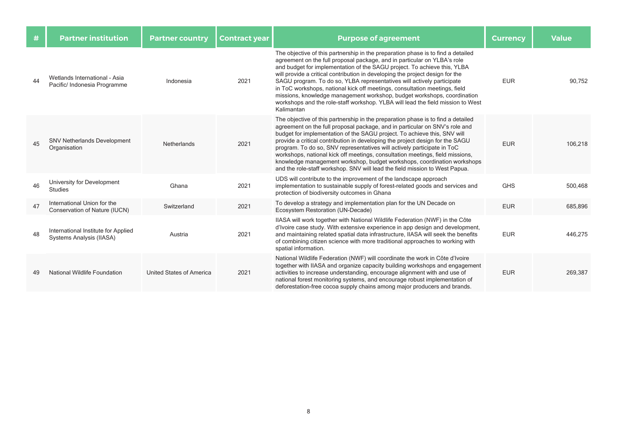| #  | <b>Partner institution</b>                                      | <b>Partner country</b>          | <b>Contract year</b> | <b>Purpose of agreement</b>                                                                                                                                                                                                                                                                                                                                                                                                                                                                                                                                                                                                                                   | <b>Currency</b> | <b>Value</b> |
|----|-----------------------------------------------------------------|---------------------------------|----------------------|---------------------------------------------------------------------------------------------------------------------------------------------------------------------------------------------------------------------------------------------------------------------------------------------------------------------------------------------------------------------------------------------------------------------------------------------------------------------------------------------------------------------------------------------------------------------------------------------------------------------------------------------------------------|-----------------|--------------|
| 44 | Wetlands International - Asia<br>Pacific/ Indonesia Programme   | Indonesia                       | 2021                 | The objective of this partnership in the preparation phase is to find a detailed<br>agreement on the full proposal package, and in particular on YLBA's role<br>and budget for implementation of the SAGU project. To achieve this, YLBA<br>will provide a critical contribution in developing the project design for the<br>SAGU program. To do so, YLBA representatives will actively participate<br>in ToC workshops, national kick off meetings, consultation meetings, field<br>missions, knowledge management workshop, budget workshops, coordination<br>workshops and the role-staff workshop. YLBA will lead the field mission to West<br>Kalimantan | <b>EUR</b>      | 90.752       |
| 45 | <b>SNV Netherlands Development</b><br>Organisation              | Netherlands                     | 2021                 | The objective of this partnership in the preparation phase is to find a detailed<br>agreement on the full proposal package, and in particular on SNV's role and<br>budget for implementation of the SAGU project. To achieve this, SNV will<br>provide a critical contribution in developing the project design for the SAGU<br>program. To do so, SNV representatives will actively participate in ToC<br>workshops, national kick off meetings, consultation meetings, field missions,<br>knowledge management workshop, budget workshops, coordination workshops<br>and the role-staff workshop. SNV will lead the field mission to West Papua.            | <b>EUR</b>      | 106,218      |
| 46 | University for Development<br><b>Studies</b>                    | Ghana                           | 2021                 | UDS will contribute to the improvement of the landscape approach<br>implementation to sustainable supply of forest-related goods and services and<br>protection of biodiversity outcomes in Ghana                                                                                                                                                                                                                                                                                                                                                                                                                                                             | <b>GHS</b>      | 500,468      |
| 47 | International Union for the<br>Conservation of Nature (IUCN)    | Switzerland                     | 2021                 | To develop a strategy and implementation plan for the UN Decade on<br>Ecosystem Restoration (UN-Decade)                                                                                                                                                                                                                                                                                                                                                                                                                                                                                                                                                       | <b>EUR</b>      | 685,896      |
| 48 | International Institute for Applied<br>Systems Analysis (IIASA) | Austria                         | 2021                 | IIASA will work together with National Wildlife Federation (NWF) in the Côte<br>d'Ivoire case study. With extensive experience in app design and development,<br>and maintaining related spatial data infrastructure, IIASA will seek the benefits<br>of combining citizen science with more traditional approaches to working with<br>spatial information.                                                                                                                                                                                                                                                                                                   | <b>EUR</b>      | 446,275      |
| 49 | National Wildlife Foundation                                    | <b>United States of America</b> | 2021                 | National Wildlife Federation (NWF) will coordinate the work in Côte d'Ivoire<br>together with IIASA and organize capacity building workshops and engagement<br>activities to increase understanding, encourage alignment with and use of<br>national forest monitoring systems, and encourage robust implementation of<br>deforestation-free cocoa supply chains among major producers and brands.                                                                                                                                                                                                                                                            | <b>EUR</b>      | 269,387      |